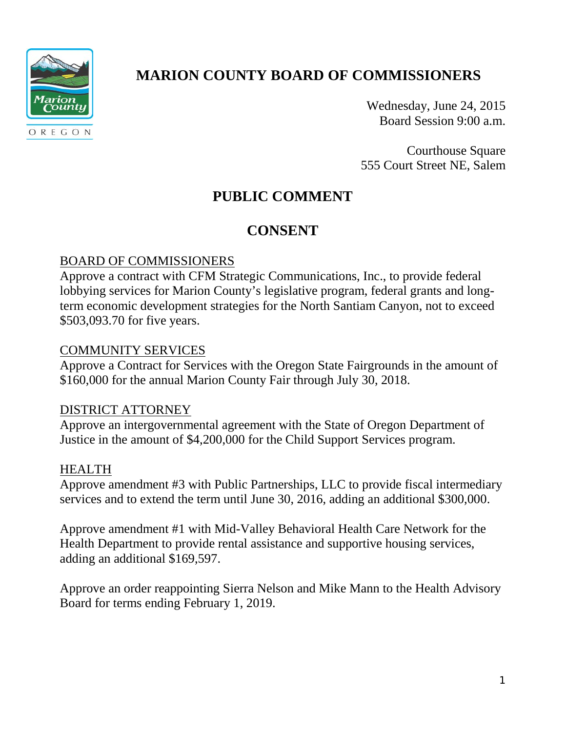

# **MARION COUNTY BOARD OF COMMISSIONERS**

Wednesday, June 24, 2015 Board Session 9:00 a.m.

Courthouse Square 555 Court Street NE, Salem

## **PUBLIC COMMENT**

## **CONSENT**

## BOARD OF COMMISSIONERS

Approve a contract with CFM Strategic Communications, Inc., to provide federal lobbying services for Marion County's legislative program, federal grants and longterm economic development strategies for the North Santiam Canyon, not to exceed \$503,093.70 for five years.

### COMMUNITY SERVICES

Approve a Contract for Services with the Oregon State Fairgrounds in the amount of \$160,000 for the annual Marion County Fair through July 30, 2018.

#### DISTRICT ATTORNEY

Approve an intergovernmental agreement with the State of Oregon Department of Justice in the amount of \$4,200,000 for the Child Support Services program.

### HEALTH

Approve amendment #3 with Public Partnerships, LLC to provide fiscal intermediary services and to extend the term until June 30, 2016, adding an additional \$300,000.

Approve amendment #1 with Mid-Valley Behavioral Health Care Network for the Health Department to provide rental assistance and supportive housing services, adding an additional \$169,597.

Approve an order reappointing Sierra Nelson and Mike Mann to the Health Advisory Board for terms ending February 1, 2019.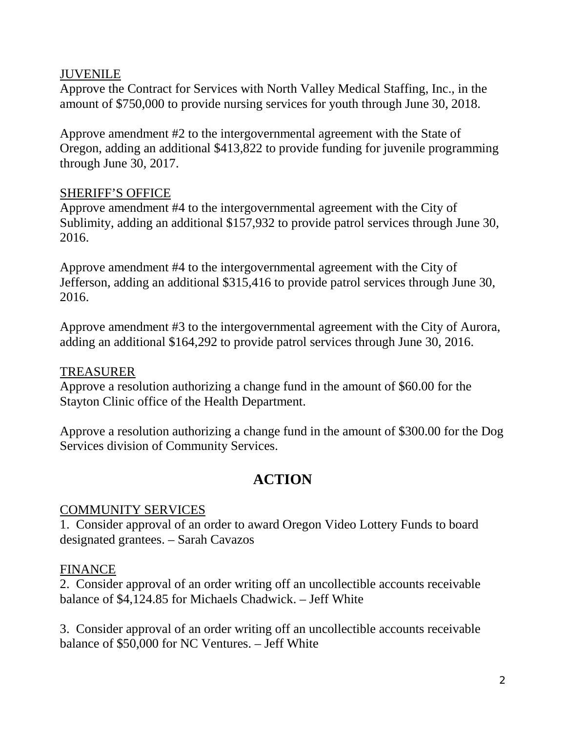### JUVENILE

Approve the Contract for Services with North Valley Medical Staffing, Inc., in the amount of \$750,000 to provide nursing services for youth through June 30, 2018.

Approve amendment #2 to the intergovernmental agreement with the State of Oregon, adding an additional \$413,822 to provide funding for juvenile programming through June 30, 2017.

### SHERIFF'S OFFICE

Approve amendment #4 to the intergovernmental agreement with the City of Sublimity, adding an additional \$157,932 to provide patrol services through June 30, 2016.

Approve amendment #4 to the intergovernmental agreement with the City of Jefferson, adding an additional \$315,416 to provide patrol services through June 30, 2016.

Approve amendment #3 to the intergovernmental agreement with the City of Aurora, adding an additional \$164,292 to provide patrol services through June 30, 2016.

### TREASURER

Approve a resolution authorizing a change fund in the amount of \$60.00 for the Stayton Clinic office of the Health Department.

Approve a resolution authorizing a change fund in the amount of \$300.00 for the Dog Services division of Community Services.

## **ACTION**

### COMMUNITY SERVICES

1. Consider approval of an order to award Oregon Video Lottery Funds to board designated grantees. – Sarah Cavazos

### FINANCE

2. Consider approval of an order writing off an uncollectible accounts receivable balance of \$4,124.85 for Michaels Chadwick. – Jeff White

3. Consider approval of an order writing off an uncollectible accounts receivable balance of \$50,000 for NC Ventures. – Jeff White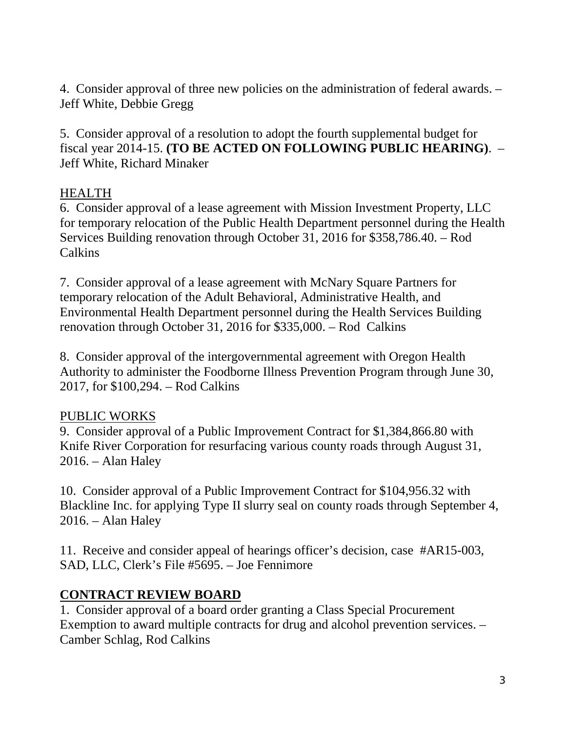4. Consider approval of three new policies on the administration of federal awards. – Jeff White, Debbie Gregg

5. Consider approval of a resolution to adopt the fourth supplemental budget for fiscal year 2014-15. **(TO BE ACTED ON FOLLOWING PUBLIC HEARING)**. – Jeff White, Richard Minaker

### HEALTH

6. Consider approval of a lease agreement with Mission Investment Property, LLC for temporary relocation of the Public Health Department personnel during the Health Services Building renovation through October 31, 2016 for \$358,786.40. – Rod Calkins

7. Consider approval of a lease agreement with McNary Square Partners for temporary relocation of the Adult Behavioral, Administrative Health, and Environmental Health Department personnel during the Health Services Building renovation through October 31, 2016 for \$335,000. – Rod Calkins

8. Consider approval of the intergovernmental agreement with Oregon Health Authority to administer the Foodborne Illness Prevention Program through June 30, 2017, for \$100,294. – Rod Calkins

### PUBLIC WORKS

9. Consider approval of a Public Improvement Contract for \$1,384,866.80 with Knife River Corporation for resurfacing various county roads through August 31, 2016. – Alan Haley

10. Consider approval of a Public Improvement Contract for \$104,956.32 with Blackline Inc. for applying Type II slurry seal on county roads through September 4, 2016. – Alan Haley

11. Receive and consider appeal of hearings officer's decision, case #AR15-003, SAD, LLC, Clerk's File #5695. – Joe Fennimore

### **CONTRACT REVIEW BOARD**

1. Consider approval of a board order granting a Class Special Procurement Exemption to award multiple contracts for drug and alcohol prevention services. – Camber Schlag, Rod Calkins